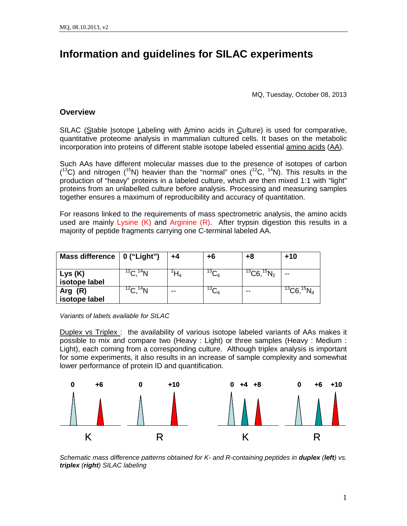# **Information and guidelines for SILAC experiments**

MQ, Tuesday, October 08, 2013

# **Overview**

SILAC (Stable Isotope Labeling with Amino acids in Culture) is used for comparative, quantitative proteome analysis in mammalian cultured cells. It bases on the metabolic incorporation into proteins of different stable isotope labeled essential amino acids (AA).

Such AAs have different molecular masses due to the presence of isotopes of carbon  $(13)$  and nitrogen  $(15)$  heavier than the "normal" ones  $(12)$ C,  $14$ N). This results in the production of "heavy" proteins in a labeled culture, which are then mixed 1:1 with "light" proteins from an unlabelled culture before analysis. Processing and measuring samples together ensures a maximum of reproducibility and accuracy of quantitation.

For reasons linked to the requirements of mass spectrometric analysis, the amino acids used are mainly Lysine  $(K)$  and Arginine  $(R)$ . After trypsin digestion this results in a majority of peptide fragments carrying one C-terminal labeled AA.

| Mass difference $\vert$ 0 ("Light") |                      | +4 | +6              | +8                         | +10                        |
|-------------------------------------|----------------------|----|-----------------|----------------------------|----------------------------|
| Lys (K)<br>isotope label            | ${}^{12}C, {}^{14}N$ | Π4 | 13⌒<br>ى)       | ${}^{13}$ C6, ${}^{15}N_2$ | --                         |
| Arg $(R)$<br>isotope label          | ${}^{12}C, {}^{14}N$ | -- | 13 $\sim$<br>∽6 | --                         | ${}^{13}$ C6, ${}^{15}N_4$ |

*Variants of labels available for SILAC*

Duplex vs Triplex: the availability of various isotope labeled variants of AAs makes it possible to mix and compare two (Heavy : Light) or three samples (Heavy : Medium : Light), each coming from a corresponding culture. Although triplex analysis is important for some experiments, it also results in an increase of sample complexity and somewhat lower performance of protein ID and quantification.



*Schematic mass difference patterns obtained for K- and R-containing peptides in duplex (left) vs. triplex (right) SILAC labeling*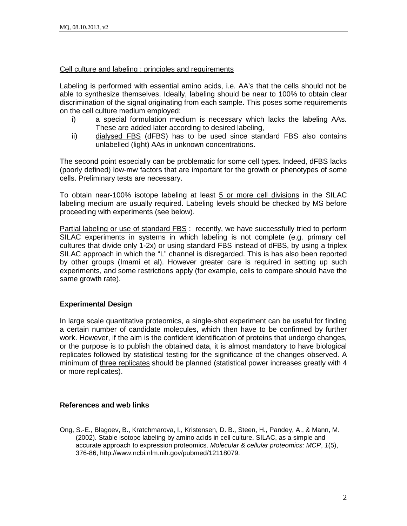#### Cell culture and labeling : principles and requirements

Labeling is performed with essential amino acids, i.e. AA's that the cells should not be able to synthesize themselves. Ideally, labeling should be near to 100% to obtain clear discrimination of the signal originating from each sample. This poses some requirements on the cell culture medium employed:

- i) a special formulation medium is necessary which lacks the labeling AAs. These are added later according to desired labeling,
- ii) dialysed FBS (dFBS) has to be used since standard FBS also contains unlabelled (light) AAs in unknown concentrations.

The second point especially can be problematic for some cell types. Indeed, dFBS lacks (poorly defined) low-mw factors that are important for the growth or phenotypes of some cells. Preliminary tests are necessary.

To obtain near-100% isotope labeling at least 5 or more cell divisions in the SILAC labeling medium are usually required. Labeling levels should be checked by MS before proceeding with experiments (see below).

Partial labeling or use of standard FBS : recently, we have successfully tried to perform SILAC experiments in systems in which labeling is not complete (e.g. primary cell cultures that divide only 1-2x) or using standard FBS instead of dFBS, by using a triplex SILAC approach in which the "L" channel is disregarded. This is has also been reported by other groups (Imami et al). However greater care is required in setting up such experiments, and some restrictions apply (for example, cells to compare should have the same growth rate).

## **Experimental Design**

In large scale quantitative proteomics, a single-shot experiment can be useful for finding a certain number of candidate molecules, which then have to be confirmed by further work. However, if the aim is the confident identification of proteins that undergo changes, or the purpose is to publish the obtained data, it is almost mandatory to have biological replicates followed by statistical testing for the significance of the changes observed. A minimum of three replicates should be planned (statistical power increases greatly with 4 or more replicates).

## **References and web links**

Ong, S.-E., Blagoev, B., Kratchmarova, I., Kristensen, D. B., Steen, H., Pandey, A., & Mann, M. (2002). Stable isotope labeling by amino acids in cell culture, SILAC, as a simple and accurate approach to expression proteomics. *Molecular & cellular proteomics: MCP*, *1*(5), 376-86, http://www.ncbi.nlm.nih.gov/pubmed/12118079.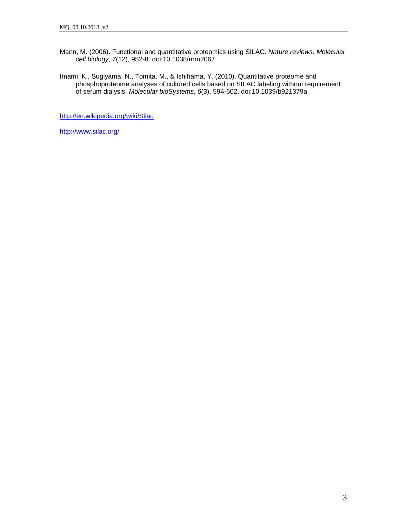- Mann, M. (2006). Functional and quantitative proteomics using SILAC. *Nature reviews. Molecular cell biology*, *7*(12), 952-8. doi:10.1038/nrm2067.
- Imami, K., Sugiyama, N., Tomita, M., & Ishihama, Y. (2010). Quantitative proteome and phosphoproteome analyses of cultured cells based on SILAC labeling without requirement of serum dialysis. *Molecular bioSystems*, *6*(3), 594-602. doi:10.1039/b921379a.

<http://en.wikipedia.org/wiki/Silac>

<http://www.silac.org/>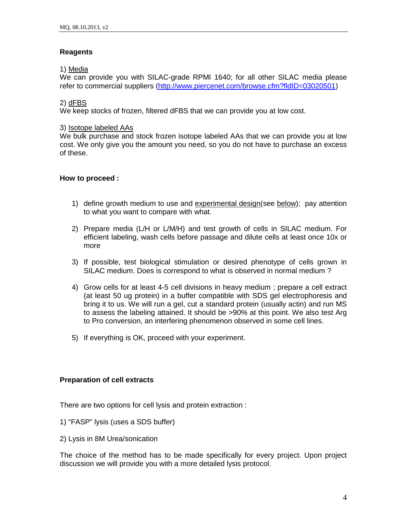## **Reagents**

## 1) Media

We can provide you with SILAC-grade RPMI 1640; for all other SILAC media please refer to commercial suppliers [\(http://www.piercenet.com/browse.cfm?fldID=03020501\)](http://www.piercenet.com/browse.cfm?fldID=03020501)

#### 2) dFBS

We keep stocks of frozen, filtered dFBS that we can provide you at low cost.

#### 3) Isotope labeled AAs

We bulk purchase and stock frozen isotope labeled AAs that we can provide you at low cost. We only give you the amount you need, so you do not have to purchase an excess of these.

## **How to proceed :**

- 1) define growth medium to use and experimental design(see below); pay attention to what you want to compare with what.
- 2) Prepare media (L/H or L/M/H) and test growth of cells in SILAC medium. For efficient labeling, wash cells before passage and dilute cells at least once 10x or more
- 3) If possible, test biological stimulation or desired phenotype of cells grown in SILAC medium. Does is correspond to what is observed in normal medium ?
- 4) Grow cells for at least 4-5 cell divisions in heavy medium ; prepare a cell extract (at least 50 ug protein) in a buffer compatible with SDS gel electrophoresis and bring it to us. We will run a gel, cut a standard protein (usually actin) and run MS to assess the labeling attained. It should be >90% at this point. We also test Arg to Pro conversion, an interfering phenomenon observed in some cell lines.
- 5) If everything is OK, proceed with your experiment.

## **Preparation of cell extracts**

There are two options for cell lysis and protein extraction :

- 1) "FASP" lysis (uses a SDS buffer)
- 2) Lysis in 8M Urea/sonication

The choice of the method has to be made specifically for every project. Upon project discussion we will provide you with a more detailed lysis protocol.